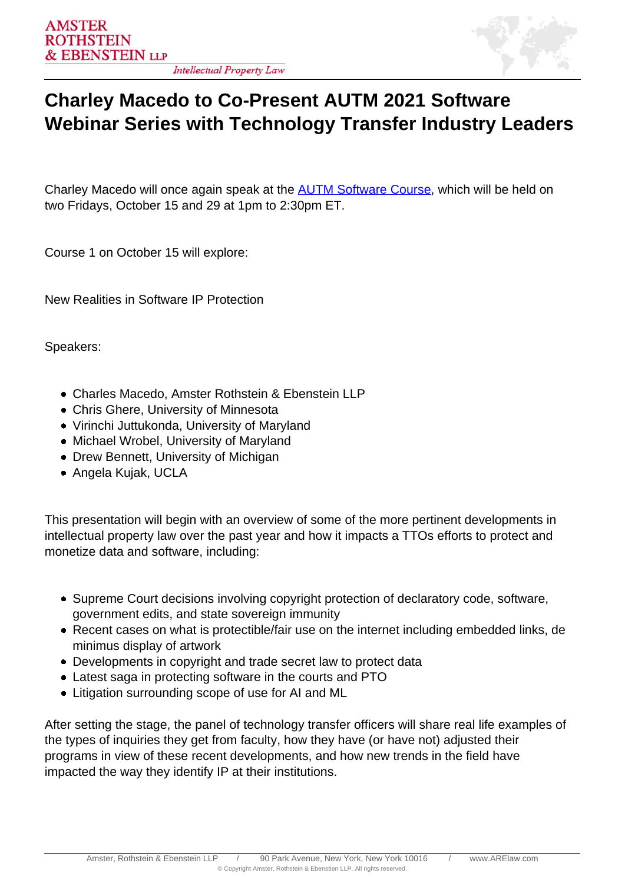

## **Charley Macedo to Co-Present AUTM 2021 Software Webinar Series with Technology Transfer Industry Leaders**

Charley Macedo will once again speak at the **AUTM Software Course**, which will be held on two Fridays, October 15 and 29 at 1pm to 2:30pm ET.

Course 1 on October 15 will explore:

New Realities in Software IP Protection

Speakers:

- Charles Macedo, Amster Rothstein & Ebenstein LLP
- Chris Ghere, University of Minnesota
- Virinchi Juttukonda, University of Maryland
- Michael Wrobel, University of Maryland
- Drew Bennett, University of Michigan
- Angela Kujak, UCLA

This presentation will begin with an overview of some of the more pertinent developments in intellectual property law over the past year and how it impacts a TTOs efforts to protect and monetize data and software, including:

- Supreme Court decisions involving copyright protection of declaratory code, software, government edits, and state sovereign immunity
- Recent cases on what is protectible/fair use on the internet including embedded links, de minimus display of artwork
- Developments in copyright and trade secret law to protect data
- Latest saga in protecting software in the courts and PTO
- Litigation surrounding scope of use for AI and ML

After setting the stage, the panel of technology transfer officers will share real life examples of the types of inquiries they get from faculty, how they have (or have not) adjusted their programs in view of these recent developments, and how new trends in the field have impacted the way they identify IP at their institutions.